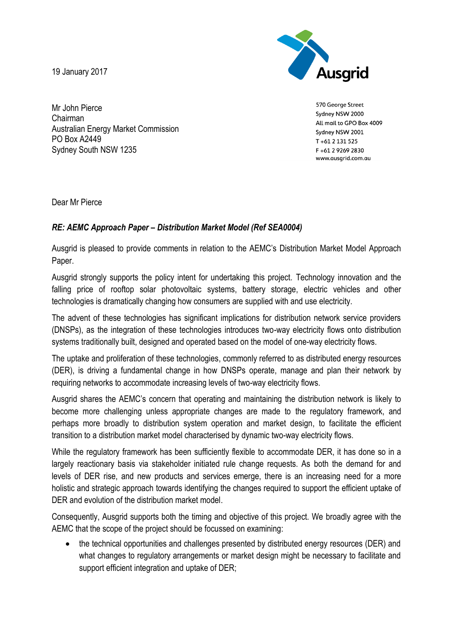19 January 2017



570 George Street Sydney NSW 2000 All mail to GPO Box 4009 Sydney NSW 2001 T+61 2 131 525 F+61 2 9269 2830 www.ausgrid.com.au

Mr John Pierce Chairman Australian Energy Market Commission PO Box A2449 Sydney South NSW 1235

Dear Mr Pierce

## *RE: AEMC Approach Paper – Distribution Market Model (Ref SEA0004)*

Ausgrid is pleased to provide comments in relation to the AEMC's Distribution Market Model Approach Paper.

Ausgrid strongly supports the policy intent for undertaking this project. Technology innovation and the falling price of rooftop solar photovoltaic systems, battery storage, electric vehicles and other technologies is dramatically changing how consumers are supplied with and use electricity.

The advent of these technologies has significant implications for distribution network service providers (DNSPs), as the integration of these technologies introduces two-way electricity flows onto distribution systems traditionally built, designed and operated based on the model of one-way electricity flows.

The uptake and proliferation of these technologies, commonly referred to as distributed energy resources (DER), is driving a fundamental change in how DNSPs operate, manage and plan their network by requiring networks to accommodate increasing levels of two-way electricity flows.

Ausgrid shares the AEMC's concern that operating and maintaining the distribution network is likely to become more challenging unless appropriate changes are made to the regulatory framework, and perhaps more broadly to distribution system operation and market design, to facilitate the efficient transition to a distribution market model characterised by dynamic two-way electricity flows.

While the regulatory framework has been sufficiently flexible to accommodate DER, it has done so in a largely reactionary basis via stakeholder initiated rule change requests. As both the demand for and levels of DER rise, and new products and services emerge, there is an increasing need for a more holistic and strategic approach towards identifying the changes required to support the efficient uptake of DER and evolution of the distribution market model.

Consequently, Ausgrid supports both the timing and objective of this project. We broadly agree with the AEMC that the scope of the project should be focussed on examining:

 the technical opportunities and challenges presented by distributed energy resources (DER) and what changes to regulatory arrangements or market design might be necessary to facilitate and support efficient integration and uptake of DER;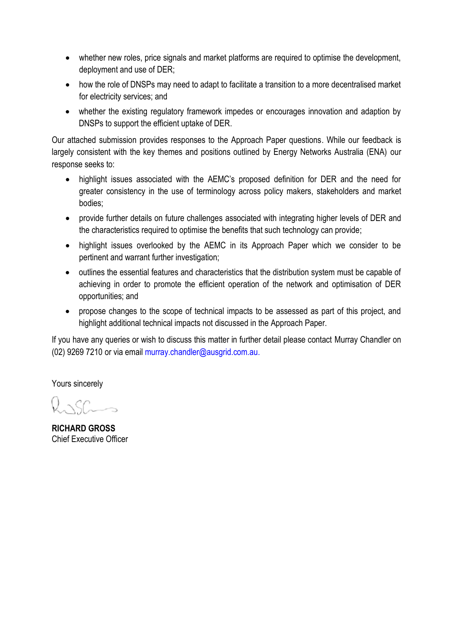- whether new roles, price signals and market platforms are required to optimise the development, deployment and use of DER;
- how the role of DNSPs may need to adapt to facilitate a transition to a more decentralised market for electricity services; and
- whether the existing regulatory framework impedes or encourages innovation and adaption by DNSPs to support the efficient uptake of DER.

Our attached submission provides responses to the Approach Paper questions. While our feedback is largely consistent with the key themes and positions outlined by Energy Networks Australia (ENA) our response seeks to:

- highlight issues associated with the AEMC's proposed definition for DER and the need for greater consistency in the use of terminology across policy makers, stakeholders and market bodies;
- provide further details on future challenges associated with integrating higher levels of DER and the characteristics required to optimise the benefits that such technology can provide;
- highlight issues overlooked by the AEMC in its Approach Paper which we consider to be pertinent and warrant further investigation;
- outlines the essential features and characteristics that the distribution system must be capable of achieving in order to promote the efficient operation of the network and optimisation of DER opportunities; and
- propose changes to the scope of technical impacts to be assessed as part of this project, and highlight additional technical impacts not discussed in the Approach Paper.

If you have any queries or wish to discuss this matter in further detail please contact Murray Chandler on (02) 9269 7210 or via email murray.chandler@ausgrid.com.au.

Yours sincerely

 $R_{\alpha}$ 

**RICHARD GROSS** Chief Executive Officer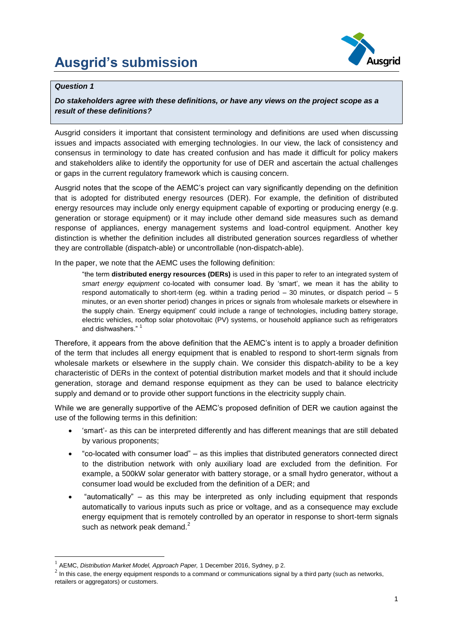# **Ausgrid's submission**



#### *Question 1*

1

### *Do stakeholders agree with these definitions, or have any views on the project scope as a result of these definitions?*

Ausgrid considers it important that consistent terminology and definitions are used when discussing issues and impacts associated with emerging technologies. In our view, the lack of consistency and consensus in terminology to date has created confusion and has made it difficult for policy makers and stakeholders alike to identify the opportunity for use of DER and ascertain the actual challenges or gaps in the current regulatory framework which is causing concern.

Ausgrid notes that the scope of the AEMC's project can vary significantly depending on the definition that is adopted for distributed energy resources (DER). For example, the definition of distributed energy resources may include only energy equipment capable of exporting or producing energy (e.g. generation or storage equipment) or it may include other demand side measures such as demand response of appliances, energy management systems and load-control equipment. Another key distinction is whether the definition includes all distributed generation sources regardless of whether they are controllable (dispatch-able) or uncontrollable (non-dispatch-able).

In the paper, we note that the AEMC uses the following definition:

"the term **distributed energy resources (DERs)** is used in this paper to refer to an integrated system of *smart energy equipment* co-located with consumer load. By 'smart', we mean it has the ability to respond automatically to short-term (eg. within a trading period – 30 minutes, or dispatch period – 5 minutes, or an even shorter period) changes in prices or signals from wholesale markets or elsewhere in the supply chain. 'Energy equipment' could include a range of technologies, including battery storage, electric vehicles, rooftop solar photovoltaic (PV) systems, or household appliance such as refrigerators and dishwashers."<sup>1</sup>

Therefore, it appears from the above definition that the AEMC's intent is to apply a broader definition of the term that includes all energy equipment that is enabled to respond to short-term signals from wholesale markets or elsewhere in the supply chain. We consider this dispatch-ability to be a key characteristic of DERs in the context of potential distribution market models and that it should include generation, storage and demand response equipment as they can be used to balance electricity supply and demand or to provide other support functions in the electricity supply chain.

While we are generally supportive of the AEMC's proposed definition of DER we caution against the use of the following terms in this definition:

- 'smart'- as this can be interpreted differently and has different meanings that are still debated by various proponents;
- "co-located with consumer load" as this implies that distributed generators connected direct to the distribution network with only auxiliary load are excluded from the definition. For example, a 500kW solar generator with battery storage, or a small hydro generator, without a consumer load would be excluded from the definition of a DER; and
- "automatically" as this may be interpreted as only including equipment that responds automatically to various inputs such as price or voltage, and as a consequence may exclude energy equipment that is remotely controlled by an operator in response to short-term signals such as network peak demand.<sup>2</sup>

<sup>&</sup>lt;sup>1</sup> AEMC, *Distribution Market Model, Approach Paper,* 1 December 2016, Sydney, p 2.

 $^2$  In this case, the energy equipment responds to a command or communications signal by a third party (such as networks, retailers or aggregators) or customers.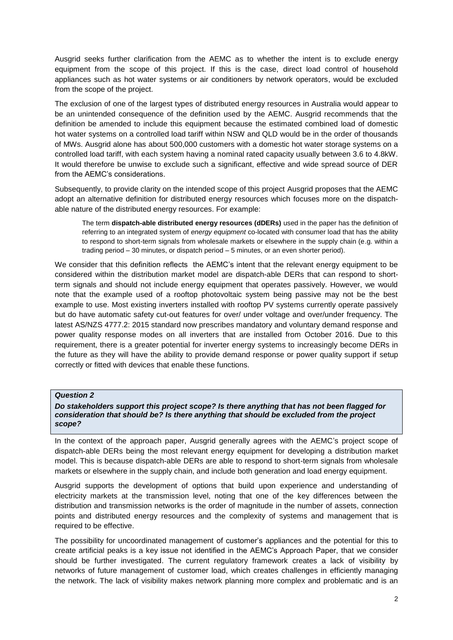Ausgrid seeks further clarification from the AEMC as to whether the intent is to exclude energy equipment from the scope of this project. If this is the case, direct load control of household appliances such as hot water systems or air conditioners by network operators, would be excluded from the scope of the project.

The exclusion of one of the largest types of distributed energy resources in Australia would appear to be an unintended consequence of the definition used by the AEMC. Ausgrid recommends that the definition be amended to include this equipment because the estimated combined load of domestic hot water systems on a controlled load tariff within NSW and QLD would be in the order of thousands of MWs. Ausgrid alone has about 500,000 customers with a domestic hot water storage systems on a controlled load tariff, with each system having a nominal rated capacity usually between 3.6 to 4.8kW. It would therefore be unwise to exclude such a significant, effective and wide spread source of DER from the AEMC's considerations.

Subsequently, to provide clarity on the intended scope of this project Ausgrid proposes that the AEMC adopt an alternative definition for distributed energy resources which focuses more on the dispatchable nature of the distributed energy resources. For example:

The term **dispatch-able distributed energy resources (dDERs)** used in the paper has the definition of referring to an integrated system of *energy equipment* co-located with consumer load that has the ability to respond to short-term signals from wholesale markets or elsewhere in the supply chain (e.g. within a trading period – 30 minutes, or dispatch period – 5 minutes, or an even shorter period).

We consider that this definition reflects the AEMC's intent that the relevant energy equipment to be considered within the distribution market model are dispatch-able DERs that can respond to shortterm signals and should not include energy equipment that operates passively. However, we would note that the example used of a rooftop photovoltaic system being passive may not be the best example to use. Most existing inverters installed with rooftop PV systems currently operate passively but do have automatic safety cut-out features for over/ under voltage and over/under frequency. The latest AS/NZS 4777.2: 2015 standard now prescribes mandatory and voluntary demand response and power quality response modes on all inverters that are installed from October 2016. Due to this requirement, there is a greater potential for inverter energy systems to increasingly become DERs in the future as they will have the ability to provide demand response or power quality support if setup correctly or fitted with devices that enable these functions.

#### *Question 2*

*Do stakeholders support this project scope? Is there anything that has not been flagged for consideration that should be? Is there anything that should be excluded from the project scope?*

In the context of the approach paper, Ausgrid generally agrees with the AEMC's project scope of dispatch-able DERs being the most relevant energy equipment for developing a distribution market model. This is because dispatch-able DERs are able to respond to short-term signals from wholesale markets or elsewhere in the supply chain, and include both generation and load energy equipment.

Ausgrid supports the development of options that build upon experience and understanding of electricity markets at the transmission level, noting that one of the key differences between the distribution and transmission networks is the order of magnitude in the number of assets, connection points and distributed energy resources and the complexity of systems and management that is required to be effective.

The possibility for uncoordinated management of customer's appliances and the potential for this to create artificial peaks is a key issue not identified in the AEMC's Approach Paper, that we consider should be further investigated. The current regulatory framework creates a lack of visibility by networks of future management of customer load, which creates challenges in efficiently managing the network. The lack of visibility makes network planning more complex and problematic and is an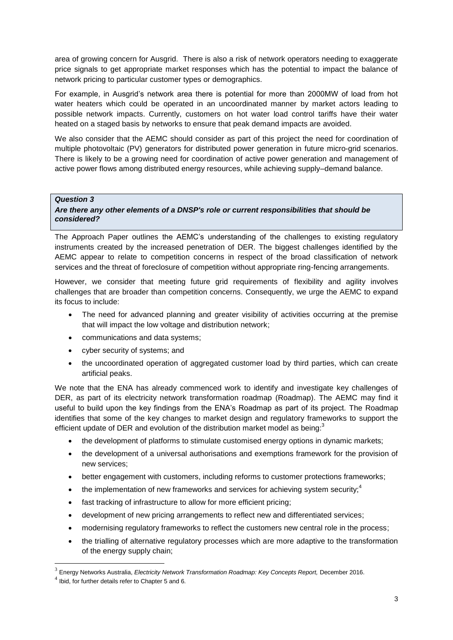area of growing concern for Ausgrid. There is also a risk of network operators needing to exaggerate price signals to get appropriate market responses which has the potential to impact the balance of network pricing to particular customer types or demographics.

For example, in Ausgrid's network area there is potential for more than 2000MW of load from hot water heaters which could be operated in an uncoordinated manner by market actors leading to possible network impacts. Currently, customers on hot water load control tariffs have their water heated on a staged basis by networks to ensure that peak demand impacts are avoided.

We also consider that the AEMC should consider as part of this project the need for coordination of multiple photovoltaic (PV) generators for distributed power generation in future micro-grid scenarios. There is likely to be a growing need for coordination of active power generation and management of active power flows among distributed energy resources, while achieving supply–demand balance.

#### *Question 3*

#### *Are there any other elements of a DNSP's role or current responsibilities that should be considered?*

The Approach Paper outlines the AEMC's understanding of the challenges to existing regulatory instruments created by the increased penetration of DER. The biggest challenges identified by the AEMC appear to relate to competition concerns in respect of the broad classification of network services and the threat of foreclosure of competition without appropriate ring-fencing arrangements.

However, we consider that meeting future grid requirements of flexibility and agility involves challenges that are broader than competition concerns. Consequently, we urge the AEMC to expand its focus to include:

- The need for advanced planning and greater visibility of activities occurring at the premise that will impact the low voltage and distribution network;
- communications and data systems;
- cyber security of systems; and
- the uncoordinated operation of aggregated customer load by third parties, which can create artificial peaks.

We note that the ENA has already commenced work to identify and investigate key challenges of DER, as part of its electricity network transformation roadmap (Roadmap). The AEMC may find it useful to build upon the key findings from the ENA's Roadmap as part of its project. The Roadmap identifies that some of the key changes to market design and regulatory frameworks to support the efficient update of DER and evolution of the distribution market model as being: $3$ 

- the development of platforms to stimulate customised energy options in dynamic markets;
- the development of a universal authorisations and exemptions framework for the provision of new services;
- better engagement with customers, including reforms to customer protections frameworks;
- $\bullet$  the implementation of new frameworks and services for achieving system security;<sup>4</sup>
- fast tracking of infrastructure to allow for more efficient pricing;
- development of new pricing arrangements to reflect new and differentiated services;
- modernising regulatory frameworks to reflect the customers new central role in the process;
- the trialling of alternative regulatory processes which are more adaptive to the transformation of the energy supply chain;

<u>.</u>

<sup>3</sup> Energy Networks Australia, *Electricity Network Transformation Roadmap: Key Concepts Report,* December 2016.

<sup>4</sup> Ibid, for further details refer to Chapter 5 and 6.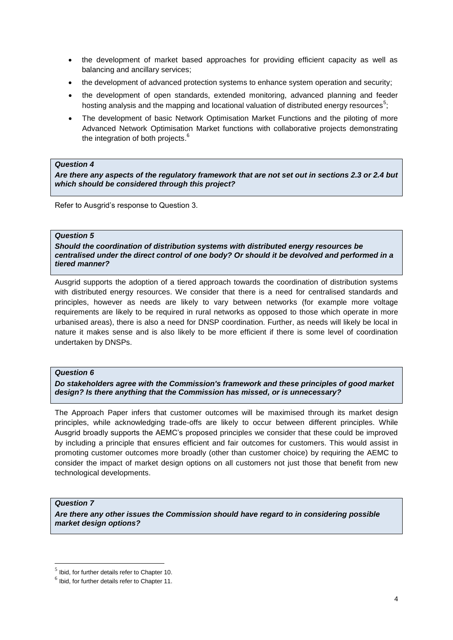- the development of market based approaches for providing efficient capacity as well as balancing and ancillary services;
- the development of advanced protection systems to enhance system operation and security;
- the development of open standards, extended monitoring, advanced planning and feeder hosting analysis and the mapping and locational valuation of distributed energy resources<sup>5</sup>;
- The development of basic Network Optimisation Market Functions and the piloting of more Advanced Network Optimisation Market functions with collaborative projects demonstrating the integration of both projects.<sup>6</sup>

#### *Question 4*

*Are there any aspects of the regulatory framework that are not set out in sections 2.3 or 2.4 but which should be considered through this project?*

Refer to Ausgrid's response to Question 3.

#### *Question 5*

*Should the coordination of distribution systems with distributed energy resources be centralised under the direct control of one body? Or should it be devolved and performed in a tiered manner?*

Ausgrid supports the adoption of a tiered approach towards the coordination of distribution systems with distributed energy resources. We consider that there is a need for centralised standards and principles, however as needs are likely to vary between networks (for example more voltage requirements are likely to be required in rural networks as opposed to those which operate in more urbanised areas), there is also a need for DNSP coordination. Further, as needs will likely be local in nature it makes sense and is also likely to be more efficient if there is some level of coordination undertaken by DNSPs.

#### *Question 6*

*Do stakeholders agree with the Commission's framework and these principles of good market design? Is there anything that the Commission has missed, or is unnecessary?*

The Approach Paper infers that customer outcomes will be maximised through its market design principles, while acknowledging trade-offs are likely to occur between different principles. While Ausgrid broadly supports the AEMC's proposed principles we consider that these could be improved by including a principle that ensures efficient and fair outcomes for customers. This would assist in promoting customer outcomes more broadly (other than customer choice) by requiring the AEMC to consider the impact of market design options on all customers not just those that benefit from new technological developments.

#### *Question 7*

<u>.</u>

*Are there any other issues the Commission should have regard to in considering possible market design options?*

 $<sup>5</sup>$  Ibid, for further details refer to Chapter 10.</sup>

 $<sup>6</sup>$  Ibid, for further details refer to Chapter 11.</sup>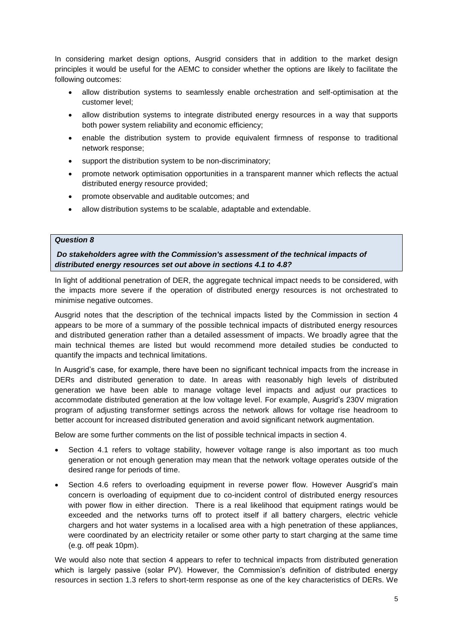In considering market design options, Ausgrid considers that in addition to the market design principles it would be useful for the AEMC to consider whether the options are likely to facilitate the following outcomes:

- allow distribution systems to seamlessly enable orchestration and self-optimisation at the customer level;
- allow distribution systems to integrate distributed energy resources in a way that supports both power system reliability and economic efficiency;
- enable the distribution system to provide equivalent firmness of response to traditional network response;
- support the distribution system to be non-discriminatory;
- promote network optimisation opportunities in a transparent manner which reflects the actual distributed energy resource provided;
- promote observable and auditable outcomes; and
- allow distribution systems to be scalable, adaptable and extendable.

#### *Question 8*

*Do stakeholders agree with the Commission's assessment of the technical impacts of distributed energy resources set out above in sections 4.1 to 4.8?*

In light of additional penetration of DER, the aggregate technical impact needs to be considered, with the impacts more severe if the operation of distributed energy resources is not orchestrated to minimise negative outcomes.

Ausgrid notes that the description of the technical impacts listed by the Commission in section 4 appears to be more of a summary of the possible technical impacts of distributed energy resources and distributed generation rather than a detailed assessment of impacts. We broadly agree that the main technical themes are listed but would recommend more detailed studies be conducted to quantify the impacts and technical limitations.

In Ausgrid's case, for example, there have been no significant technical impacts from the increase in DERs and distributed generation to date. In areas with reasonably high levels of distributed generation we have been able to manage voltage level impacts and adjust our practices to accommodate distributed generation at the low voltage level. For example, Ausgrid's 230V migration program of adjusting transformer settings across the network allows for voltage rise headroom to better account for increased distributed generation and avoid significant network augmentation.

Below are some further comments on the list of possible technical impacts in section 4.

- Section 4.1 refers to voltage stability, however voltage range is also important as too much generation or not enough generation may mean that the network voltage operates outside of the desired range for periods of time.
- Section 4.6 refers to overloading equipment in reverse power flow. However Ausgrid's main concern is overloading of equipment due to co-incident control of distributed energy resources with power flow in either direction. There is a real likelihood that equipment ratings would be exceeded and the networks turns off to protect itself if all battery chargers, electric vehicle chargers and hot water systems in a localised area with a high penetration of these appliances, were coordinated by an electricity retailer or some other party to start charging at the same time (e.g. off peak 10pm).

We would also note that section 4 appears to refer to technical impacts from distributed generation which is largely passive (solar PV). However, the Commission's definition of distributed energy resources in section 1.3 refers to short-term response as one of the key characteristics of DERs. We